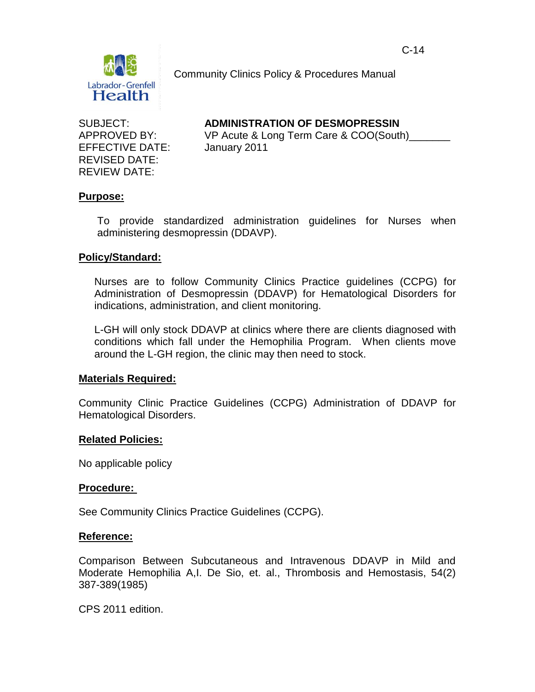

Community Clinics Policy & Procedures Manual

EFFECTIVE DATE: January 2011 REVISED DATE: REVIEW DATE:

SUBJECT: **ADMINISTRATION OF DESMOPRESSIN**

APPROVED BY: VP Acute & Long Term Care & COO(South)

## **Purpose:**

To provide standardized administration guidelines for Nurses when administering desmopressin (DDAVP).

## **Policy/Standard:**

Nurses are to follow Community Clinics Practice guidelines (CCPG) for Administration of Desmopressin (DDAVP) for Hematological Disorders for indications, administration, and client monitoring.

L-GH will only stock DDAVP at clinics where there are clients diagnosed with conditions which fall under the Hemophilia Program. When clients move around the L-GH region, the clinic may then need to stock.

## **Materials Required:**

Community Clinic Practice Guidelines (CCPG) Administration of DDAVP for Hematological Disorders.

## **Related Policies:**

No applicable policy

## **Procedure:**

See Community Clinics Practice Guidelines (CCPG).

## **Reference:**

Comparison Between Subcutaneous and Intravenous DDAVP in Mild and Moderate Hemophilia A,I. De Sio, et. al., Thrombosis and Hemostasis, 54(2) 387-389(1985)

CPS 2011 edition.